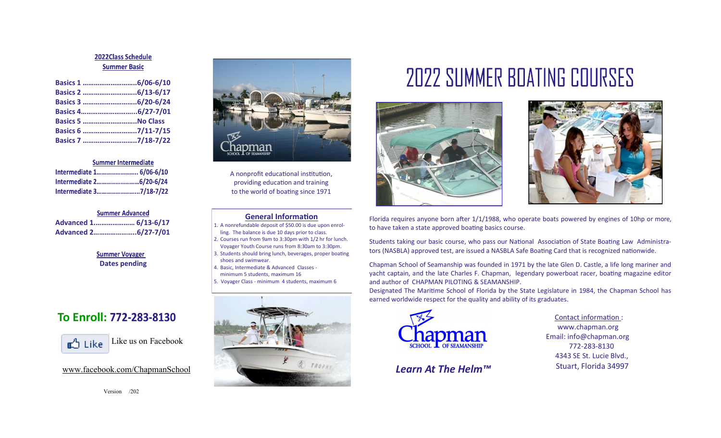### 2022Class Schedule **Summer Basic**

| Basics 6 7/11-7/15 |  |
|--------------------|--|
| Basics 7 7/18-7/22 |  |

#### **Summer Intermediate**

| Intermediate 1 6/06-6/10 |  |
|--------------------------|--|
|                          |  |
| Intermediate 37/18-7/22  |  |

| <b>Summer Advanced</b> |  |
|------------------------|--|
| Advanced 1 6/13-6/17   |  |
| Advanced 26/27-7/01    |  |

### **Summer Voyager Dates pending**

### **To Enroll:**



Version  $@02$ 



A nonprofit educational institution, providing education and training to the world of boating since 1971

### **General Information**

- 1. A nonrefundable deposit of \$50.00 is due upon enrolling. The balance is due 10 days prior to class.
- 2. Courses run from 9am to 3:30pm with 1/2 hr for lunch. Voyager Youth Course runs from 8:30am to 3:30pm.
- 3. Students should bring lunch, beverages, proper boating shoes and swimwear.
- 4. Basic, Intermediate & Advanced Classes minimum 5 students, maximum 16
- 5. Voyager Class minimum 4 students, maximum 6



# **2022 SUMMER BOATING COURSES**





Florida requires anyone born after 1/1/1988, who operate boats powered by engines of 10hp or more, to have taken a state approved boating basics course.

Students taking our basic course, who pass our National Association of State Boating Law Administrators (NASBLA) approved test, are issued a NASBLA Safe Boating Card that is recognized nationwide.

Chapman School of Seamanship was founded in 1971 by the late Glen D. Castle, a life long mariner and yacht captain, and the late Charles F. Chapman, legendary powerboat racer, boating magazine editor and author of CHAPMAN PILOTING & SEAMANSHIP.

Designated The Maritime School of Florida by the State Legislature in 1984, the Chapman School has earned worldwide respect for the quality and ability of its graduates.



Contact information : www.chapman.org Email: info@chapman.org 772-283-8130 4343 SE St. Lucie Blvd., Stuart, Florida 34997